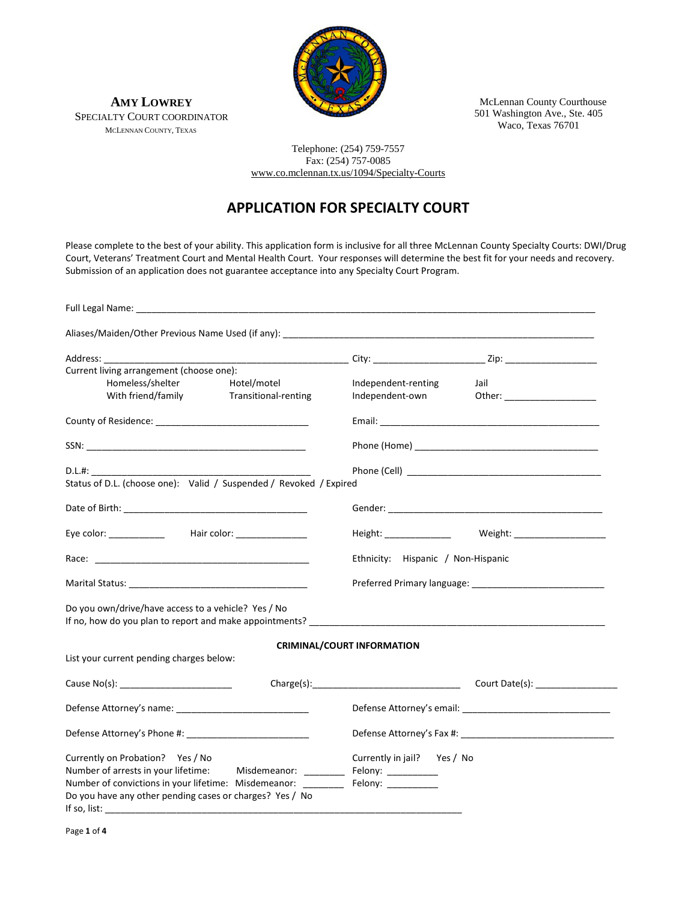

 McLennan County Courthouse 501 Washington Ave., Ste. 405 Waco, Texas 76701

**AMY LOWREY** SPECIALTY COURT COORDINATOR MCLENNAN COUNTY, TEXAS

> Telephone: (254) 759-7557 Fax: (254) 757-0085 [www.co.mclennan.tx.us/1094/Specialty-Courts](http://www.co.mclennan.tx.us/1094/Specialty-Courts)

## **APPLICATION FOR SPECIALTY COURT**

Please complete to the best of your ability. This application form is inclusive for all three McLennan County Specialty Courts: DWI/Drug Court, Veterans' Treatment Court and Mental Health Court. Your responses will determine the best fit for your needs and recovery. Submission of an application does not guarantee acceptance into any Specialty Court Program.

| Current living arrangement (choose one):                                                                                                                                                                                         |                      |                                    |                                                              |  |
|----------------------------------------------------------------------------------------------------------------------------------------------------------------------------------------------------------------------------------|----------------------|------------------------------------|--------------------------------------------------------------|--|
| Homeless/shelter                                                                                                                                                                                                                 | Hotel/motel          | Independent-renting                | Jail                                                         |  |
| With friend/family                                                                                                                                                                                                               | Transitional-renting | Independent-own                    | Other: _____________________                                 |  |
|                                                                                                                                                                                                                                  |                      |                                    |                                                              |  |
|                                                                                                                                                                                                                                  |                      |                                    |                                                              |  |
|                                                                                                                                                                                                                                  |                      |                                    |                                                              |  |
| Status of D.L. (choose one): Valid / Suspended / Revoked / Expired                                                                                                                                                               |                      |                                    |                                                              |  |
|                                                                                                                                                                                                                                  |                      |                                    |                                                              |  |
| Eye color: _______________  Hair color: ________________                                                                                                                                                                         |                      |                                    | Height: ___________________ Weight: ________________________ |  |
|                                                                                                                                                                                                                                  |                      | Ethnicity: Hispanic / Non-Hispanic |                                                              |  |
| Marital Status: The Contract of the Contract of the Contract of the Contract of the Contract of the Contract of the Contract of the Contract of the Contract of the Contract of the Contract of the Contract of the Contract o   |                      |                                    |                                                              |  |
| Do you own/drive/have access to a vehicle? Yes / No<br>If no, how do you plan to report and make appointments?<br>The contract of the contract of the contract of the contract of the contract of the contract of the contract o |                      |                                    |                                                              |  |
|                                                                                                                                                                                                                                  |                      | <b>CRIMINAL/COURT INFORMATION</b>  |                                                              |  |
| List your current pending charges below:                                                                                                                                                                                         |                      |                                    |                                                              |  |
|                                                                                                                                                                                                                                  |                      |                                    |                                                              |  |
|                                                                                                                                                                                                                                  |                      |                                    |                                                              |  |
|                                                                                                                                                                                                                                  |                      |                                    |                                                              |  |
| Currently on Probation? Yes / No                                                                                                                                                                                                 |                      | Currently in jail? Yes / No        |                                                              |  |
| Number of arrests in your lifetime: Misdemeanor: _______                                                                                                                                                                         |                      | Felony: ____________               |                                                              |  |
| Number of convictions in your lifetime: Misdemeanor: _________ Felony: _________                                                                                                                                                 |                      |                                    |                                                              |  |
| Do you have any other pending cases or charges? Yes / No                                                                                                                                                                         |                      |                                    |                                                              |  |
| If so, list:                                                                                                                                                                                                                     |                      |                                    |                                                              |  |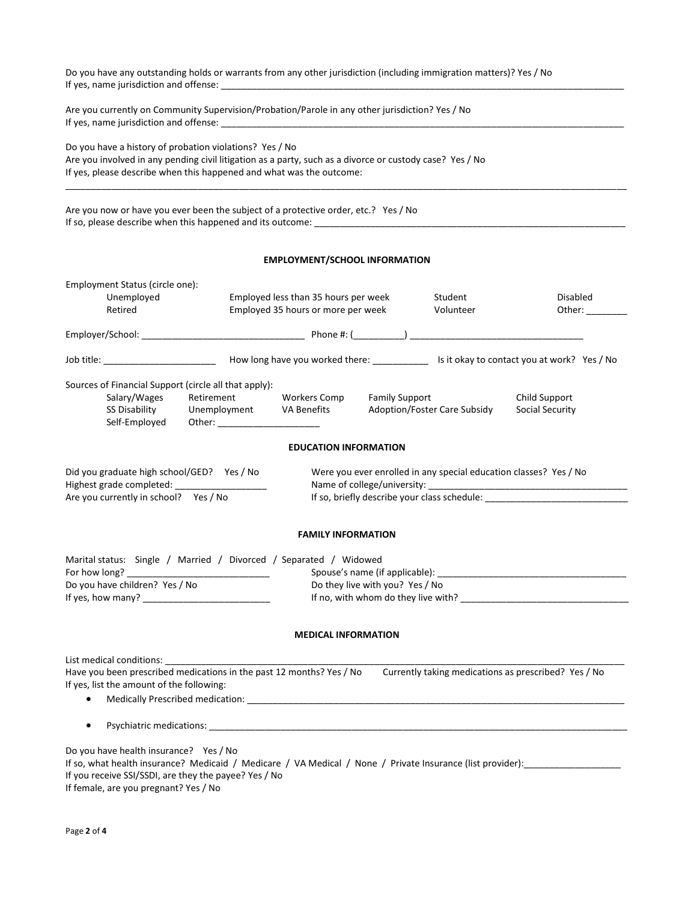| Do you have any outstanding holds or warrants from any other jurisdiction (including immigration matters)? Yes / No                                                                                                                                                                                                                                                            |                                                                            |                       |                              |                                                      |
|--------------------------------------------------------------------------------------------------------------------------------------------------------------------------------------------------------------------------------------------------------------------------------------------------------------------------------------------------------------------------------|----------------------------------------------------------------------------|-----------------------|------------------------------|------------------------------------------------------|
| Are you currently on Community Supervision/Probation/Parole in any other jurisdiction? Yes / No                                                                                                                                                                                                                                                                                |                                                                            |                       |                              |                                                      |
| Do you have a history of probation violations? Yes / No<br>Are you involved in any pending civil litigation as a party, such as a divorce or custody case? Yes / No<br>If yes, please describe when this happened and what was the outcome:                                                                                                                                    |                                                                            |                       |                              |                                                      |
| Are you now or have you ever been the subject of a protective order, etc.? Yes / No                                                                                                                                                                                                                                                                                            |                                                                            |                       |                              |                                                      |
|                                                                                                                                                                                                                                                                                                                                                                                | <b>EMPLOYMENT/SCHOOL INFORMATION</b>                                       |                       |                              |                                                      |
| Employment Status (circle one):<br>Unemployed<br>Retired                                                                                                                                                                                                                                                                                                                       | Employed less than 35 hours per week<br>Employed 35 hours or more per week |                       | Student<br>Volunteer         | Disabled<br>Other:                                   |
|                                                                                                                                                                                                                                                                                                                                                                                |                                                                            |                       |                              |                                                      |
|                                                                                                                                                                                                                                                                                                                                                                                |                                                                            |                       |                              |                                                      |
| Sources of Financial Support (circle all that apply):<br>Salary/Wages<br>Retirement<br><b>SS Disability</b><br>Unemployment<br>Self-Employed<br>Other: and the state of the state of the state of the state of the state of the state of the state of the state of the state of the state of the state of the state of the state of the state of the state of the state of the | <b>Workers Comp</b><br>VA Benefits                                         | <b>Family Support</b> | Adoption/Foster Care Subsidy | Child Support<br>Social Security                     |
|                                                                                                                                                                                                                                                                                                                                                                                | <b>EDUCATION INFORMATION</b>                                               |                       |                              |                                                      |
| Did you graduate high school/GED? Yes / No<br>Were you ever enrolled in any special education classes? Yes / No<br>Highest grade completed: _________<br>Name of college/university:<br>Are you currently in school? Yes / No<br>If so, briefly describe your class schedule: ___________________________________                                                              |                                                                            |                       |                              |                                                      |
|                                                                                                                                                                                                                                                                                                                                                                                | <b>FAMILY INFORMATION</b>                                                  |                       |                              |                                                      |
| Marital status: Single / Married / Divorced / Separated / Widowed<br>For how long?<br>Do you have children? Yes / No<br>Do they live with you? Yes / No                                                                                                                                                                                                                        |                                                                            |                       |                              |                                                      |
|                                                                                                                                                                                                                                                                                                                                                                                | <b>MEDICAL INFORMATION</b>                                                 |                       |                              |                                                      |
| List medical conditions:<br>Have you been prescribed medications in the past 12 months? Yes / No<br>If yes, list the amount of the following:                                                                                                                                                                                                                                  |                                                                            |                       |                              | Currently taking medications as prescribed? Yes / No |
| $\bullet$                                                                                                                                                                                                                                                                                                                                                                      |                                                                            |                       |                              |                                                      |
| Do you have health insurance? Yes / No<br>If so, what health insurance? Medicaid / Medicare / VA Medical / None / Private Insurance (list provider):<br>If you receive SSI/SSDI, are they the payee? Yes / No                                                                                                                                                                  |                                                                            |                       |                              |                                                      |

If female, are you pregnant? Yes / No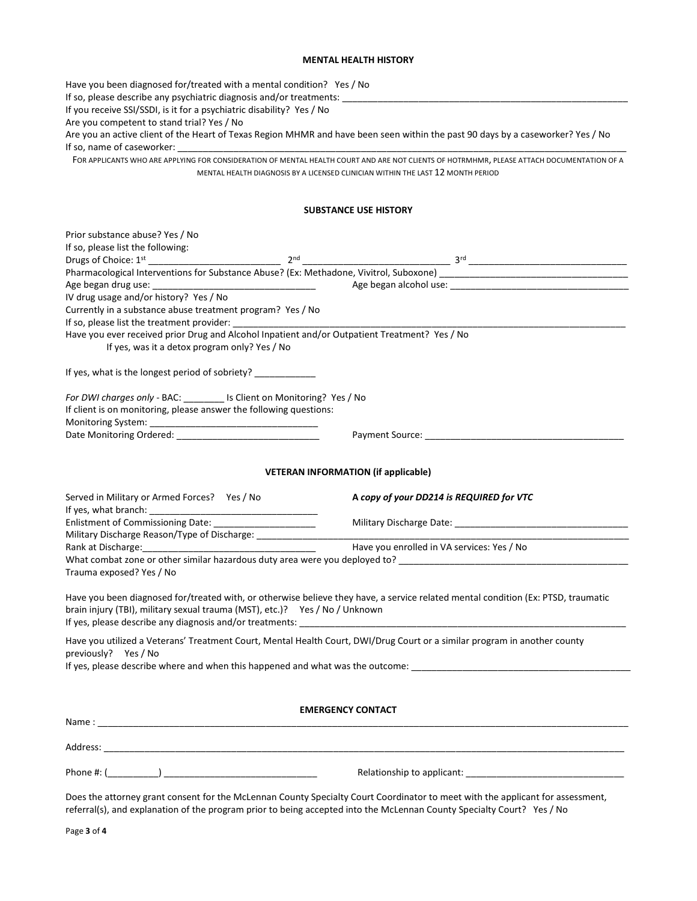## **MENTAL HEALTH HISTORY**

Have you been diagnosed for/treated with a mental condition? Yes / No If so, please describe any psychiatric diagnosis and/or treatments: \_\_\_\_\_\_\_\_\_\_\_\_ If you receive SSI/SSDI, is it for a psychiatric disability? Yes / No Are you competent to stand trial? Yes / No Are you an active client of the Heart of Texas Region MHMR and have been seen within the past 90 days by a caseworker? Yes / No If so, name of caseworker: FOR APPLICANTS WHO ARE APPLYING FOR CONSIDERATION OF MENTAL HEALTH COURT AND ARE NOT CLIENTS OF HOTRMHMR, PLEASE ATTACH DOCUMENTATION OF A MENTAL HEALTH DIAGNOSIS BY A LICENSED CLINICIAN WITHIN THE LAST 12 MONTH PERIOD **SUBSTANCE USE HISTORY** Prior substance abuse? Yes / No If so, please list the following: Drugs of Choice: 1st \_\_\_\_\_\_\_\_\_\_\_\_\_\_\_\_\_\_\_\_\_\_\_\_\_\_ 2nd \_\_\_\_\_\_\_\_\_\_\_\_\_\_\_\_\_\_\_\_\_\_\_\_\_\_\_\_\_ 3rd \_\_\_\_\_\_\_\_\_\_\_\_\_\_\_\_\_\_\_\_\_\_\_\_\_\_\_\_\_\_\_ Pharmacological Interventions for Substance Abuse? (Ex: Methadone, Vivitrol, Suboxone) \_ Age began drug use: \_\_\_\_\_\_\_\_\_\_\_\_\_\_\_\_\_\_\_\_\_\_\_\_\_\_\_\_\_\_\_\_ Age began alcohol use: \_\_\_\_\_\_\_\_\_\_\_\_\_\_\_\_\_\_\_\_\_\_\_\_\_\_\_\_\_\_\_\_\_\_\_ IV drug usage and/or history? Yes / No Currently in a substance abuse treatment program? Yes / No If so, please list the treatment provider: Have you ever received prior Drug and Alcohol Inpatient and/or Outpatient Treatment? Yes / No If yes, was it a detox program only? Yes / No If yes, what is the longest period of sobriety? *For DWI charges only* - BAC: \_\_\_\_\_\_\_\_ Is Client on Monitoring? Yes / No If client is on monitoring, please answer the following questions: Monitoring System: Date Monitoring Ordered: etc. and the contract of the Payment Source:  $\Box$  Payment Source:  $\Box$  and  $\Box$  and  $\Box$  and  $\Box$  and  $\Box$  and  $\Box$  and  $\Box$  and  $\Box$  and  $\Box$  and  $\Box$  and  $\Box$  and  $\Box$  and  $\Box$  and  $\Box$  and  $\Box$  **VETERAN INFORMATION (if applicable)**  Served in Military or Armed Forces? Yes / No **A** *copy of your DD214 is REQUIRED for VTC* If yes, what branch: Enlistment of Commissioning Date: \_\_\_\_\_\_\_\_\_\_\_\_\_\_\_\_\_\_\_\_ Military Discharge Date: \_\_\_\_\_\_\_\_\_\_\_\_\_\_\_\_\_\_\_\_\_\_\_\_\_\_\_\_\_\_\_\_\_\_ Military Discharge Reason/Type of Discharge: Rank at Discharge: The United States and States and Have you enrolled in VA services: Yes / No What combat zone or other similar hazardous duty area were you deployed to? \_\_\_\_\_\_\_\_\_\_\_ Trauma exposed? Yes / No Have you been diagnosed for/treated with, or otherwise believe they have, a service related mental condition (Ex: PTSD, traumatic brain injury (TBI), military sexual trauma (MST), etc.)? Yes / No / Unknown If yes, please describe any diagnosis and/or treatments: Have you utilized a Veterans' Treatment Court, Mental Health Court, DWI/Drug Court or a similar program in another county previously? Yes / No If yes, please describe where and when this happened and what was the outcome: **EMERGENCY CONTACT** Name : \_\_\_\_\_\_\_\_\_\_\_\_\_\_\_\_\_\_\_\_\_\_\_\_\_\_\_\_\_\_\_\_\_\_\_\_\_\_\_\_\_\_\_\_\_\_\_\_\_\_\_\_\_\_\_\_\_\_\_\_\_\_\_\_\_\_\_\_\_\_\_\_\_\_\_\_\_\_\_\_\_\_\_\_\_\_\_\_\_\_\_\_\_\_\_\_\_\_\_\_\_\_\_\_  $Address:$ Phone #: (\_\_\_\_\_\_\_\_\_\_) \_\_\_\_\_\_\_\_\_\_\_\_\_\_\_\_\_\_\_\_\_\_\_\_\_\_\_\_\_\_ Relationship to applicant: \_\_\_\_\_\_\_\_\_\_\_\_\_\_\_\_\_\_\_\_\_\_\_\_\_\_\_\_\_\_\_ Does the attorney grant consent for the McLennan County Specialty Court Coordinator to meet with the applicant for assessment,

referral(s), and explanation of the program prior to being accepted into the McLennan County Specialty Court? Yes / No